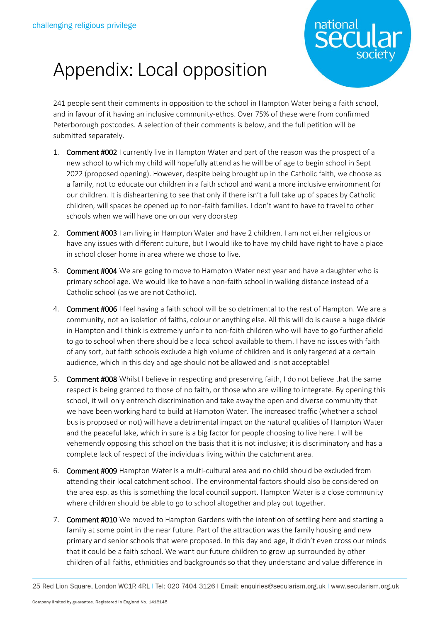

## Appendix: Local opposition

241 people sent their comments in opposition to the school in Hampton Water being a faith school, and in favour of it having an inclusive community-ethos. Over 75% of these were from confirmed Peterborough postcodes. A selection of their comments is below, and the full petition will be submitted separately.

- 1. Comment #002 I currently live in Hampton Water and part of the reason was the prospect of a new school to which my child will hopefully attend as he will be of age to begin school in Sept 2022 (proposed opening). However, despite being brought up in the Catholic faith, we choose as a family, not to educate our children in a faith school and want a more inclusive environment for our children. It is disheartening to see that only if there isn't a full take up of spaces by Catholic children, will spaces be opened up to non-faith families. I don't want to have to travel to other schools when we will have one on our very doorstep
- 2. Comment #003 I am living in Hampton Water and have 2 children. I am not either religious or have any issues with different culture, but I would like to have my child have right to have a place in school closer home in area where we chose to live.
- 3. Comment #004 We are going to move to Hampton Water next year and have a daughter who is primary school age. We would like to have a non-faith school in walking distance instead of a Catholic school (as we are not Catholic).
- 4. Comment #006 I feel having a faith school will be so detrimental to the rest of Hampton. We are a community, not an isolation of faiths, colour or anything else. All this will do is cause a huge divide in Hampton and I think is extremely unfair to non-faith children who will have to go further afield to go to school when there should be a local school available to them. I have no issues with faith of any sort, but faith schools exclude a high volume of children and is only targeted at a certain audience, which in this day and age should not be allowed and is not acceptable!
- 5. Comment #008 Whilst I believe in respecting and preserving faith, I do not believe that the same respect is being granted to those of no faith, or those who are willing to integrate. By opening this school, it will only entrench discrimination and take away the open and diverse community that we have been working hard to build at Hampton Water. The increased traffic (whether a school bus is proposed or not) will have a detrimental impact on the natural qualities of Hampton Water and the peaceful lake, which in sure is a big factor for people choosing to live here. I will be vehemently opposing this school on the basis that it is not inclusive; it is discriminatory and has a complete lack of respect of the individuals living within the catchment area.
- 6. Comment #009 Hampton Water is a multi-cultural area and no child should be excluded from attending their local catchment school. The environmental factors should also be considered on the area esp. as this is something the local council support. Hampton Water is a close community where children should be able to go to school altogether and play out together.
- 7. Comment #010 We moved to Hampton Gardens with the intention of settling here and starting a family at some point in the near future. Part of the attraction was the family housing and new primary and senior schools that were proposed. In this day and age, it didn't even cross our minds that it could be a faith school. We want our future children to grow up surrounded by other children of all faiths, ethnicities and backgrounds so that they understand and value difference in

<sup>25</sup> Red Lion Square, London WC1R 4RL | Tel: 020 7404 3126 | Email: enquiries@secularism.org.uk | www.secularism.org.uk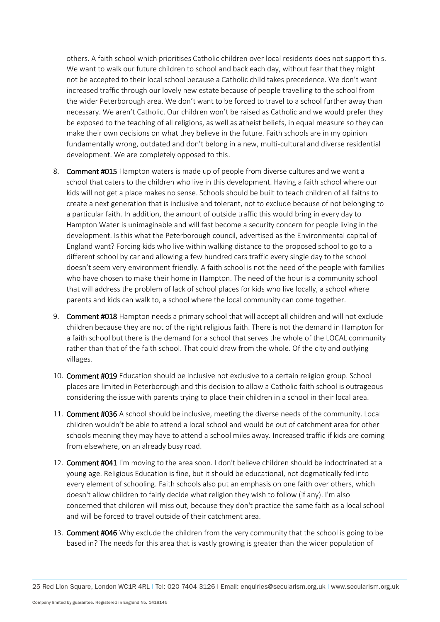others. A faith school which prioritises Catholic children over local residents does not support this. We want to walk our future children to school and back each day, without fear that they might not be accepted to their local school because a Catholic child takes precedence. We don't want increased traffic through our lovely new estate because of people travelling to the school from the wider Peterborough area. We don't want to be forced to travel to a school further away than necessary. We aren't Catholic. Our children won't be raised as Catholic and we would prefer they be exposed to the teaching of all religions, as well as atheist beliefs, in equal measure so they can make their own decisions on what they believe in the future. Faith schools are in my opinion fundamentally wrong, outdated and don't belong in a new, multi-cultural and diverse residential development. We are completely opposed to this.

- 8. Comment #015 Hampton waters is made up of people from diverse cultures and we want a school that caters to the children who live in this development. Having a faith school where our kids will not get a place makes no sense. Schools should be built to teach children of all faiths to create a next generation that is inclusive and tolerant, not to exclude because of not belonging to a particular faith. In addition, the amount of outside traffic this would bring in every day to Hampton Water is unimaginable and will fast become a security concern for people living in the development. Is this what the Peterborough council, advertised as the Environmental capital of England want? Forcing kids who live within walking distance to the proposed school to go to a different school by car and allowing a few hundred cars traffic every single day to the school doesn't seem very environment friendly. A faith school is not the need of the people with families who have chosen to make their home in Hampton. The need of the hour is a community school that will address the problem of lack of school places for kids who live locally, a school where parents and kids can walk to, a school where the local community can come together.
- 9. Comment #018 Hampton needs a primary school that will accept all children and will not exclude children because they are not of the right religious faith. There is not the demand in Hampton for a faith school but there is the demand for a school that serves the whole of the LOCAL community rather than that of the faith school. That could draw from the whole. Of the city and outlying villages.
- 10. Comment #019 Education should be inclusive not exclusive to a certain religion group. School places are limited in Peterborough and this decision to allow a Catholic faith school is outrageous considering the issue with parents trying to place their children in a school in their local area.
- 11. Comment #036 A school should be inclusive, meeting the diverse needs of the community. Local children wouldn't be able to attend a local school and would be out of catchment area for other schools meaning they may have to attend a school miles away. Increased traffic if kids are coming from elsewhere, on an already busy road.
- 12. Comment #041 I'm moving to the area soon. I don't believe children should be indoctrinated at a young age. Religious Education is fine, but it should be educational, not dogmatically fed into every element of schooling. Faith schools also put an emphasis on one faith over others, which doesn't allow children to fairly decide what religion they wish to follow (if any). I'm also concerned that children will miss out, because they don't practice the same faith as a local school and will be forced to travel outside of their catchment area.
- 13. Comment #046 Why exclude the children from the very community that the school is going to be based in? The needs for this area that is vastly growing is greater than the wider population of

25 Red Lion Square, London WC1R 4RL | Tel: 020 7404 3126 | Email: enquiries@secularism.org.uk | www.secularism.org.uk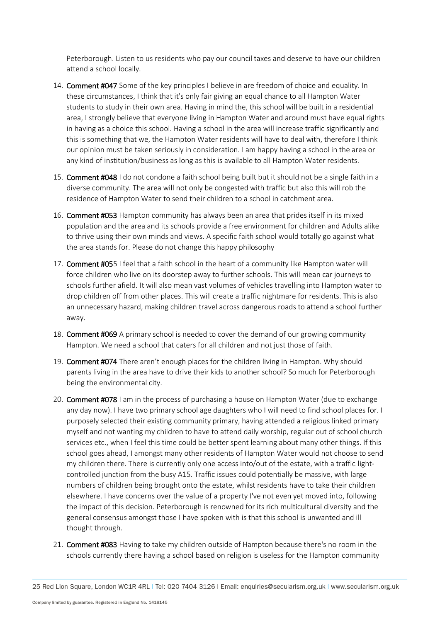Peterborough. Listen to us residents who pay our council taxes and deserve to have our children attend a school locally.

- 14. Comment #047 Some of the key principles I believe in are freedom of choice and equality. In these circumstances, I think that it's only fair giving an equal chance to all Hampton Water students to study in their own area. Having in mind the, this school will be built in a residential area, I strongly believe that everyone living in Hampton Water and around must have equal rights in having as a choice this school. Having a school in the area will increase traffic significantly and this is something that we, the Hampton Water residents will have to deal with, therefore I think our opinion must be taken seriously in consideration. I am happy having a school in the area or any kind of institution/business as long as this is available to all Hampton Water residents.
- 15. Comment #048 I do not condone a faith school being built but it should not be a single faith in a diverse community. The area will not only be congested with traffic but also this will rob the residence of Hampton Water to send their children to a school in catchment area.
- 16. Comment #053 Hampton community has always been an area that prides itself in its mixed population and the area and its schools provide a free environment for children and Adults alike to thrive using their own minds and views. A specific faith school would totally go against what the area stands for. Please do not change this happy philosophy
- 17. Comment #055 I feel that a faith school in the heart of a community like Hampton water will force children who live on its doorstep away to further schools. This will mean car journeys to schools further afield. It will also mean vast volumes of vehicles travelling into Hampton water to drop children off from other places. This will create a traffic nightmare for residents. This is also an unnecessary hazard, making children travel across dangerous roads to attend a school further away.
- 18. Comment #069 A primary school is needed to cover the demand of our growing community Hampton. We need a school that caters for all children and not just those of faith.
- 19. Comment #074 There aren't enough places for the children living in Hampton. Why should parents living in the area have to drive their kids to another school? So much for Peterborough being the environmental city.
- 20. Comment #078 I am in the process of purchasing a house on Hampton Water (due to exchange any day now). I have two primary school age daughters who I will need to find school places for. I purposely selected their existing community primary, having attended a religious linked primary myself and not wanting my children to have to attend daily worship, regular out of school church services etc., when I feel this time could be better spent learning about many other things. If this school goes ahead, I amongst many other residents of Hampton Water would not choose to send my children there. There is currently only one access into/out of the estate, with a traffic lightcontrolled junction from the busy A15. Traffic issues could potentially be massive, with large numbers of children being brought onto the estate, whilst residents have to take their children elsewhere. I have concerns over the value of a property I've not even yet moved into, following the impact of this decision. Peterborough is renowned for its rich multicultural diversity and the general consensus amongst those I have spoken with is that this school is unwanted and ill thought through.
- 21. Comment #083 Having to take my children outside of Hampton because there's no room in the schools currently there having a school based on religion is useless for the Hampton community

25 Red Lion Square, London WC1R 4RL | Tel: 020 7404 3126 | Email: enquiries@secularism.org.uk | www.secularism.org.uk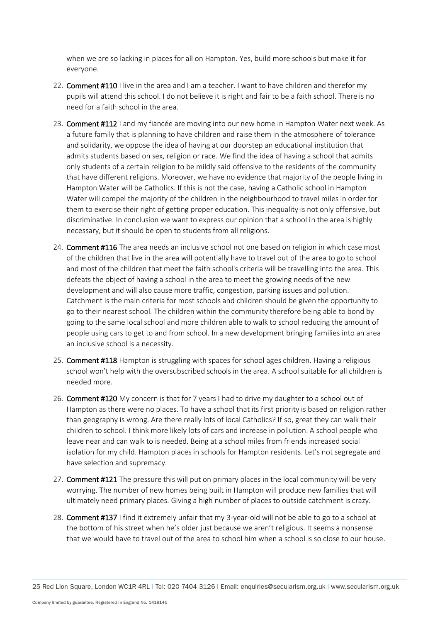when we are so lacking in places for all on Hampton. Yes, build more schools but make it for everyone.

- 22. Comment #110 I live in the area and I am a teacher. I want to have children and therefor my pupils will attend this school. I do not believe it is right and fair to be a faith school. There is no need for a faith school in the area.
- 23. Comment #112 I and my fiancée are moving into our new home in Hampton Water next week. As a future family that is planning to have children and raise them in the atmosphere of tolerance and solidarity, we oppose the idea of having at our doorstep an educational institution that admits students based on sex, religion or race. We find the idea of having a school that admits only students of a certain religion to be mildly said offensive to the residents of the community that have different religions. Moreover, we have no evidence that majority of the people living in Hampton Water will be Catholics. If this is not the case, having a Catholic school in Hampton Water will compel the majority of the children in the neighbourhood to travel miles in order for them to exercise their right of getting proper education. This inequality is not only offensive, but discriminative. In conclusion we want to express our opinion that a school in the area is highly necessary, but it should be open to students from all religions.
- 24. Comment #116 The area needs an inclusive school not one based on religion in which case most of the children that live in the area will potentially have to travel out of the area to go to school and most of the children that meet the faith school's criteria will be travelling into the area. This defeats the object of having a school in the area to meet the growing needs of the new development and will also cause more traffic, congestion, parking issues and pollution. Catchment is the main criteria for most schools and children should be given the opportunity to go to their nearest school. The children within the community therefore being able to bond by going to the same local school and more children able to walk to school reducing the amount of people using cars to get to and from school. In a new development bringing families into an area an inclusive school is a necessity.
- 25. Comment #118 Hampton is struggling with spaces for school ages children. Having a religious school won't help with the oversubscribed schools in the area. A school suitable for all children is needed more.
- 26. Comment #120 My concern is that for 7 years I had to drive my daughter to a school out of Hampton as there were no places. To have a school that its first priority is based on religion rather than geography is wrong. Are there really lots of local Catholics? If so, great they can walk their children to school. I think more likely lots of cars and increase in pollution. A school people who leave near and can walk to is needed. Being at a school miles from friends increased social isolation for my child. Hampton places in schools for Hampton residents. Let's not segregate and have selection and supremacy.
- 27. Comment #121 The pressure this will put on primary places in the local community will be very worrying. The number of new homes being built in Hampton will produce new families that will ultimately need primary places. Giving a high number of places to outside catchment is crazy.
- 28. Comment #137 I find it extremely unfair that my 3-year-old will not be able to go to a school at the bottom of his street when he's older just because we aren't religious. It seems a nonsense that we would have to travel out of the area to school him when a school is so close to our house.

25 Red Lion Square, London WC1R 4RL | Tel: 020 7404 3126 | Email: enquiries@secularism.org.uk | www.secularism.org.uk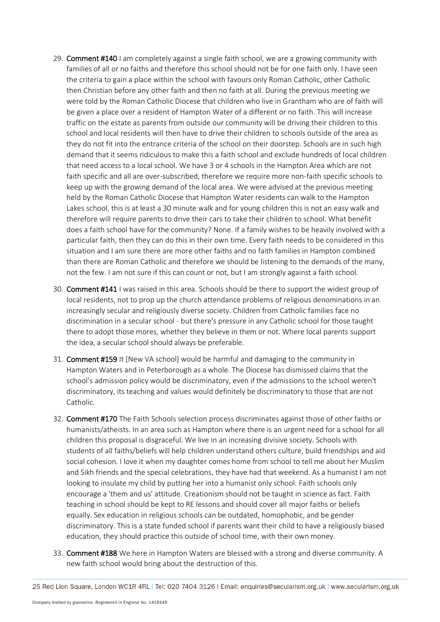- 29. Comment #140 I am completely against a single faith school, we are a growing community with families of all or no faiths and therefore this school should not be for one faith only. I have seen the criteria to gain a place within the school with favours only Roman Catholic, other Catholic then Christian before any other faith and then no faith at all. During the previous meeting we were told by the Roman Catholic Diocese that children who live in Grantham who are of faith will be given a place over a resident of Hampton Water of a different or no faith. This will increase traffic on the estate as parents from outside our community will be driving their children to this school and local residents will then have to drive their children to schools outside of the area as they do not fit into the entrance criteria of the school on their doorstep. Schools are in such high demand that it seems ridiculous to make this a faith school and exclude hundreds of local children that need access to a local school. We have 3 or 4 schools in the Hampton Area which are not faith specific and all are over-subscribed, therefore we require more non-faith specific schools to keep up with the growing demand of the local area. We were advised at the previous meeting held by the Roman Catholic Diocese that Hampton Water residents can walk to the Hampton Lakes school, this is at least a 30 minute walk and for young children this is not an easy walk and therefore will require parents to drive their cars to take their children to school. What benefit does a faith school have for the community? None. If a family wishes to be heavily involved with a particular faith, then they can do this in their own time. Every faith needs to be considered in this situation and I am sure there are more other faiths and no faith families in Hampton combined than there are Roman Catholic and therefore we should be listening to the demands of the many, not the few. I am not sure if this can count or not, but I am strongly against a faith school.
- 30. Comment #141 I was raised in this area. Schools should be there to support the widest group of local residents, not to prop up the church attendance problems of religious denominations in an increasingly secular and religiously diverse society. Children from Catholic families face no discrimination in a secular school - but there's pressure in any Catholic school for those taught there to adopt those mores, whether they believe in them or not. Where local parents support the idea, a secular school should always be preferable.
- 31. Comment #159 It [New VA school] would be harmful and damaging to the community in Hampton Waters and in Peterborough as a whole. The Diocese has dismissed claims that the school's admission policy would be discriminatory, even if the admissions to the school weren't discriminatory, its teaching and values would definitely be discriminatory to those that are not Catholic.
- 32. Comment #170 The Faith Schools selection process discriminates against those of other faiths or humanists/atheists. In an area such as Hampton where there is an urgent need for a school for all children this proposal is disgraceful. We live in an increasing divisive society. Schools with students of all faiths/beliefs will help children understand others culture, build friendships and aid social cohesion. I love it when my daughter comes home from school to tell me about her Muslim and Sikh friends and the special celebrations, they have had that weekend. As a humanist I am not looking to insulate my child by putting her into a humanist only school. Faith schools only encourage a 'them and us' attitude. Creationism should not be taught in science as fact. Faith teaching in school should be kept to RE lessons and should cover all major faiths or beliefs equally. Sex education in religious schools can be outdated, homophobic, and be gender discriminatory. This is a state funded school if parents want their child to have a religiously biased education, they should practice this outside of school time, with their own money.
- 33. Comment #188 We here in Hampton Waters are blessed with a strong and diverse community. A new faith school would bring about the destruction of this.

25 Red Lion Square, London WC1R 4RL | Tel: 020 7404 3126 | Email: enquiries@secularism.org.uk | www.secularism.org.uk